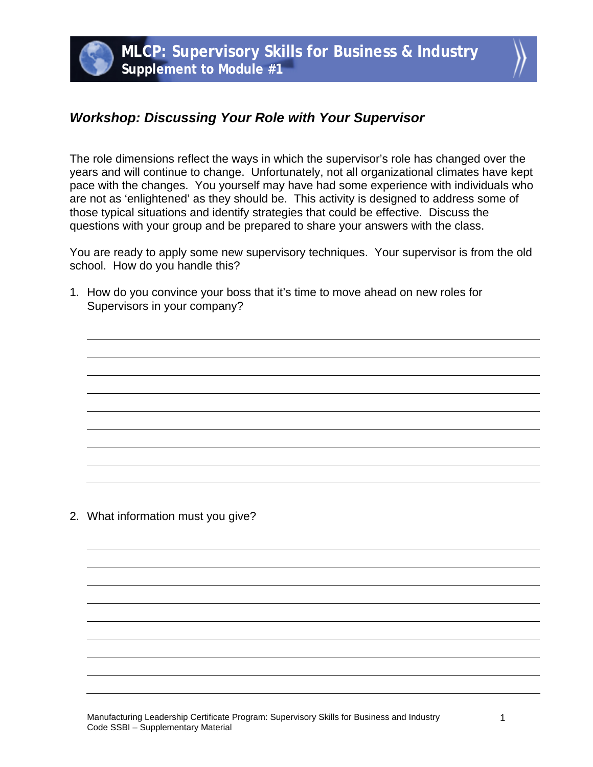

## *Workshop: Discussing Your Role with Your Supervisor*

The role dimensions reflect the ways in which the supervisor's role has changed over the years and will continue to change. Unfortunately, not all organizational climates have kept pace with the changes. You yourself may have had some experience with individuals who are not as 'enlightened' as they should be. This activity is designed to address some of those typical situations and identify strategies that could be effective. Discuss the questions with your group and be prepared to share your answers with the class.

You are ready to apply some new supervisory techniques. Your supervisor is from the old school. How do you handle this?

1. How do you convince your boss that it's time to move ahead on new roles for Supervisors in your company?

2. What information must you give?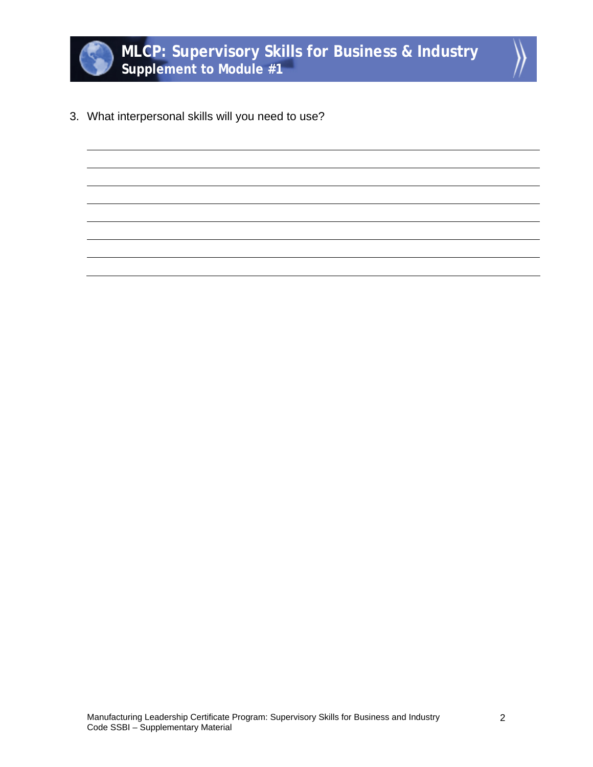